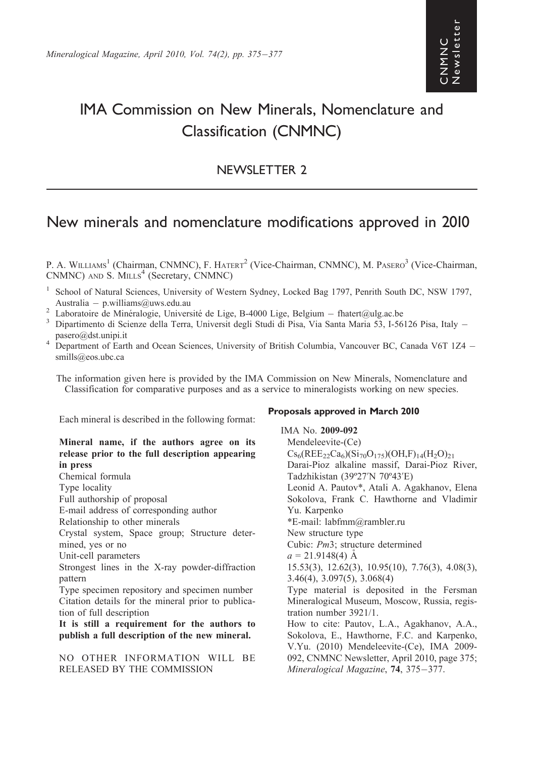# IMA Commission on New Minerals, Nomenclature and Classification (CNMNC)

## NEWSLETTER 2

## New minerals and nomenclature modifications approved in 2010

P. A. WILLIAMS<sup>1</sup> (Chairman, CNMNC), F. HATERT<sup>2</sup> (Vice-Chairman, CNMNC), M. PASERO<sup>3</sup> (Vice-Chairman,  $CNMNC$ ) AND  $S$ . MILLS<sup>4</sup> (Secretary, CNMNC)

- <sup>1</sup> School of Natural Sciences, University of Western Sydney, Locked Bag 1797, Penrith South DC, NSW 1797, Australia – p.williams@uws.edu.au<br>
<sup>2</sup> Laboratoire de Minéralogie, Université de Lige, B-4000 Lige, Belgium – fhatert@ulg.ac.be<br>
<sup>3</sup> Dipartimento di Scienze della Terra, Universit degli Studi di Pisa, Via Santa Maria 53, I
- 
- pasero@dst.unipi.it<br><sup>4</sup> Department of Earth and Ocean Sciences, University of British Columbia, Vancouver BC, Canada V6T 1Z4 –
- smills@eos.ubc.ca

The information given here is provided by the IMA Commission on New Minerals, Nomenclature and Classification for comparative purposes and as a service to mineralogists working on new species.

Each mineral is described in the following format:

#### Mineral name, if the authors agree on its release prior to the full description appearing in press

Chemical formula

Type locality

Full authorship of proposal

E-mail address of corresponding author

Relationship to other minerals

Crystal system, Space group; Structure determined, yes or no

Unit-cell parameters

Strongest lines in the X-ray powder-diffraction pattern

Type specimen repository and specimen number Citation details for the mineral prior to publication of full description

It is still a requirement for the authors to publish a full description of the new mineral.

NO OTHER INFORMATION WILL BE RELEASED BY THE COMMISSION

#### Proposals approved in March 2010

IMA No. 2009-092 Mendeleevite-(Ce)  $Cs<sub>6</sub>(REE<sub>22</sub>Ca<sub>6</sub>)(Si<sub>70</sub>O<sub>175</sub>)(OH,F)<sub>14</sub>(H<sub>2</sub>O)<sub>21</sub>$ Darai-Pioz alkaline massif, Darai-Pioz River, Tadzhikistan (39º27'N 70º43'E) Leonid A. Pautov\*, Atali A. Agakhanov, Elena Sokolova, Frank C. Hawthorne and Vladimir Yu. Karpenko \*E-mail: labfmm@rambler.ru New structure type Cubic: Pm3; structure determined  $a = 21.9148(4)$  Å 15.53(3), 12.62(3), 10.95(10), 7.76(3), 4.08(3), 3.46(4), 3.097(5), 3.068(4) Type material is deposited in the Fersman Mineralogical Museum, Moscow, Russia, registration number 3921/1. How to cite: Pautov, L.A., Agakhanov, A.A., Sokolova, E., Hawthorne, F.C. and Karpenko, V.Yu. (2010) Mendeleevite-(Ce), IMA 2009- 092, CNMNC Newsletter, April 2010, page 375; Mineralogical Magazine, 74, 375-377.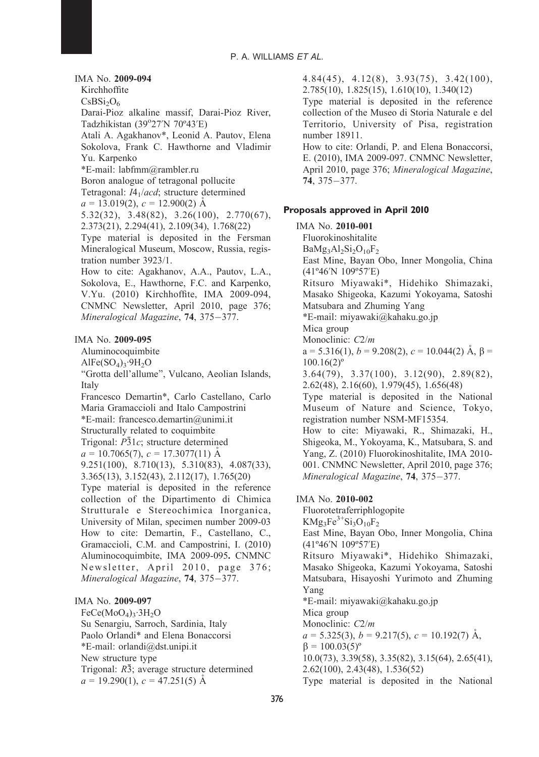#### IMA No. 2009-094

Kirchhoffite

 $CsBSi<sub>2</sub>O<sub>6</sub>$ 

Darai-Pioz alkaline massif, Darai-Pioz River, Tadzhikistan (39°27'N 70°43'E)

Atali A. Agakhanov\*, Leonid A. Pautov, Elena Sokolova, Frank C. Hawthorne and Vladimir Yu. Karpenko

\*E-mail: labfmm@rambler.ru

Boron analogue of tetragonal pollucite

Tetragonal: I41/acd; structure determined

 $a = 13.019(2), c = 12.900(2)$  Å

5.32(32), 3.48(82), 3.26(100), 2.770(67), 2.373(21), 2.294(41), 2.109(34), 1.768(22)

Type material is deposited in the Fersman Mineralogical Museum, Moscow, Russia, registration number 3923/1.

How to cite: Agakhanov, A.A., Pautov, L.A., Sokolova, E., Hawthorne, F.C. and Karpenko, V.Yu. (2010) Kirchhoffite, IMA 2009-094, CNMNC Newsletter, April 2010, page 376; Mineralogical Magazine, 74, 375-377.

#### IMA No. 2009-095

Aluminocoquimbite

 $AlFe(SO<sub>4</sub>)<sub>3</sub>·9H<sub>2</sub>O$ 

''Grotta dell'allume'', Vulcano, Aeolian Islands, Italy

Francesco Demartin\*, Carlo Castellano, Carlo Maria Gramaccioli and Italo Campostrini

\*E-mail: francesco.demartin@unimi.it

Structurally related to coquimbite

Trigonal:  $P\bar{3}1c$ ; structure determined

 $a = 10.7065(7), c = 17.3077(11)$  Å

9.251(100), 8.710(13), 5.310(83), 4.087(33), 3.365(13), 3.152(43), 2.112(17), 1.765(20)

Type material is deposited in the reference collection of the Dipartimento di Chimica Strutturale e Stereochimica Inorganica, University of Milan, specimen number 2009-03 How to cite: Demartin, F., Castellano, C., Gramaccioli, C.M. and Campostrini, I. (2010) Aluminocoquimbite, IMA 2009-095. CNMNC Newsletter, April 2010, page 376; Mineralogical Magazine, 74, 375-377.

IMA No. 2009-097

 $FeCe(MoO<sub>4</sub>)<sub>3</sub>·3H<sub>2</sub>O$ Su Senargiu, Sarroch, Sardinia, Italy Paolo Orlandi\* and Elena Bonaccorsi \*E-mail: orlandi@dst.unipi.it New structure type Trigonal:  $R\bar{3}$ ; average structure determined  $a = 19.290(1), c = 47.251(5)$  Å

4.84(45), 4.12(8), 3.93(75), 3.42(100), 2.785(10), 1.825(15), 1.610(10), 1.340(12)

Type material is deposited in the reference collection of the Museo di Storia Naturale e del Territorio, University of Pisa, registration number 18911.

How to cite: Orlandi, P. and Elena Bonaccorsi, E. (2010), IMA 2009-097. CNMNC Newsletter, April 2010, page 376; Mineralogical Magazine,  $74, 375 - 377.$ 

#### Proposals approved in April 2010

### IMA No. 2010-001

Fluorokinoshitalite  $BaMg_3Al_2Si_2O_{10}F_2$ East Mine, Bayan Obo, Inner Mongolia, China (41º46'N 109º57'E)

> Ritsuro Miyawaki\*, Hidehiko Shimazaki, Masako Shigeoka, Kazumi Yokoyama, Satoshi Matsubara and Zhuming Yang

\*E-mail: miyawaki@kahaku.go.jp

Mica group

Monoclinic:  $C2/m$ 

 $a = 5.316(1), b = 9.208(2), c = 10.044(2)$  Å,  $\beta =$  $100.16(2)$ <sup>o</sup>

3.64(79), 3.37(100), 3.12(90), 2.89(82), 2.62(48), 2.16(60), 1.979(45), 1.656(48)

Type material is deposited in the National Museum of Nature and Science, Tokyo, registration number NSM-MF15354.

How to cite: Miyawaki, R., Shimazaki, H., Shigeoka, M., Yokoyama, K., Matsubara, S. and Yang, Z. (2010) Fluorokinoshitalite, IMA 2010- 001. CNMNC Newsletter, April 2010, page 376; Mineralogical Magazine, 74, 375-377.

#### IMA No. 2010-002

Fluorotetraferriphlogopite  $KMg_3Fe^{3+}Si_3O_{10}F_2$ East Mine, Bayan Obo, Inner Mongolia, China (41º46'N 109º57'E) Ritsuro Miyawaki\*, Hidehiko Shimazaki, Masako Shigeoka, Kazumi Yokoyama, Satoshi Matsubara, Hisayoshi Yurimoto and Zhuming Yang \*E-mail: miyawaki@kahaku.go.jp Mica group Monoclinic: C2/m  $a = 5.325(3), b = 9.217(5), c = 10.192(7)$  Å,  $\beta = 100.03(5)^{\circ}$ 10.0(73), 3.39(58), 3.35(82), 3.15(64), 2.65(41), 2.62(100), 2.43(48), 1.536(52) Type material is deposited in the National